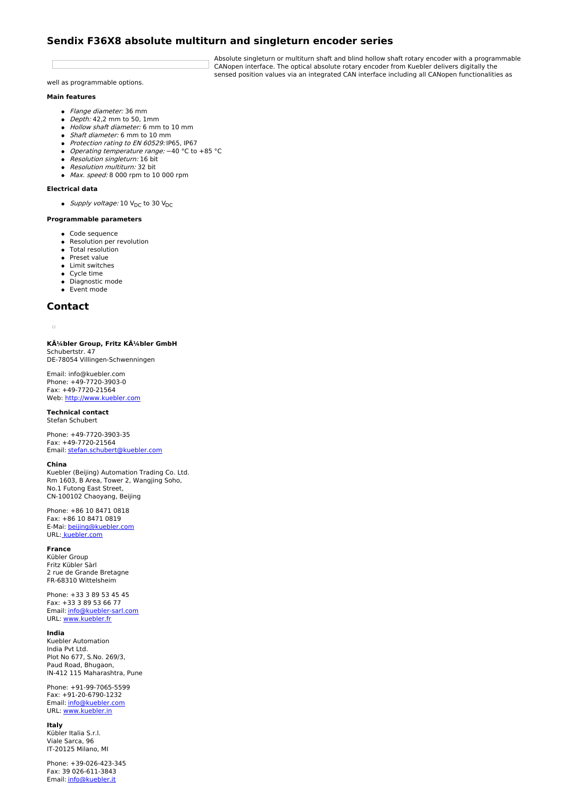# **Sendix F36X8 absolute multiturn and singleturn encoder series**

Absolute singleturn or multiturn shaft and blind hollow shaft rotary encoder with a programmable CANopen interface. The optical absolute rotary encoder from Kuebler delivers digitally the sensed position values via an integrated CAN interface including all CANopen functionalities as

well as programmable options.

## **Main features**

- Flange diameter: 36 mm
- $\bullet$  *Depth:* 42,2 mm to 50, 1mm
- Hollow shaft diameter: 6 mm to 10 mm
- Shaft diameter: 6 mm to 10 mm Protection rating to EN 60529: IP65, IP67
- Operating temperature range: −40 °C to +85 °C
- Resolution singleturn: 16 bit
- Resolution multiturn: 32 bit
- Max. speed: 8 000 rpm to 10 000 rpm

# **Electrical data**

• Supply voltage: 10  $V_{DC}$  to 30  $V_{DC}$ 

# **Programmable parameters**

- Code sequence
- Resolution per revolution
- Total resolution
- Preset value
- Limit switches
- Cycle time
- **•** Diagnostic mode
- Event mode

# **Contact**

 $\overline{\phantom{a}}$ 

**Kübler Group, Fritz Kübler GmbH** Schubertstr. 47 DE-78054 Villingen-Schwenningen

Email: info@kuebler.com Phone: +49-7720-3903-0 Fax: +49-7720-21564 Web: <http://www.kuebler.com>

#### **Technical contact** Stefan Schubert

Phone: +49-7720-3903-35 Fax: +49-7720-21564 Email: [stefan.schubert@kuebler.com](mailto:stefan.schubert@kuebler.com)

#### **China**

Kuebler (Beijing) Automation Trading Co. Ltd. Rm 1603, B Area, Tower 2, Wangjing Soho, No.1 Futong East Street, CN-100102 Chaoyang, Beijing

Phone: +86 10 8471 0818 Fax: +86 10 8471 0819 E-Mai: [beijing@kuebler.com](mailto:beijing@kuebler.com) URL: [kuebler.com](http://www.kuebler.com)

## **France**

Kübler Group Fritz Kübler Sàrl 2 rue de Grande Bretagne FR-68310 Wittelsheim

Phone: +33 3 89 53 45 45 Fax: +33 3 89 53 66 77 Email: [info@kuebler-sarl.com](mailto:info@kuebler-sarl.com) URL: [www.kuebler.fr](http://www.kuebler.fr)

### **India**

Kuebler Automation India Pvt Ltd. Plot No 677, S.No. 269/3, Paud Road, Bhugaon, IN-412 115 Maharashtra, Pune

Phone: +91-99-7065-5599 Fax: +91-20-6790-1232 Email: [info@kuebler.com](mailto:info@kuebler.com) URL: [www.kuebler.in](http://www.kuebler.in)

#### **Italy**

Kübler Italia S.r.l. Viale Sarca, 96 IT-20125 Milano, MI

Phone: +39-026-423-345 Fax: 39 026-611-3843 Email: [info@kuebler.it](mailto:info@kuebler.it)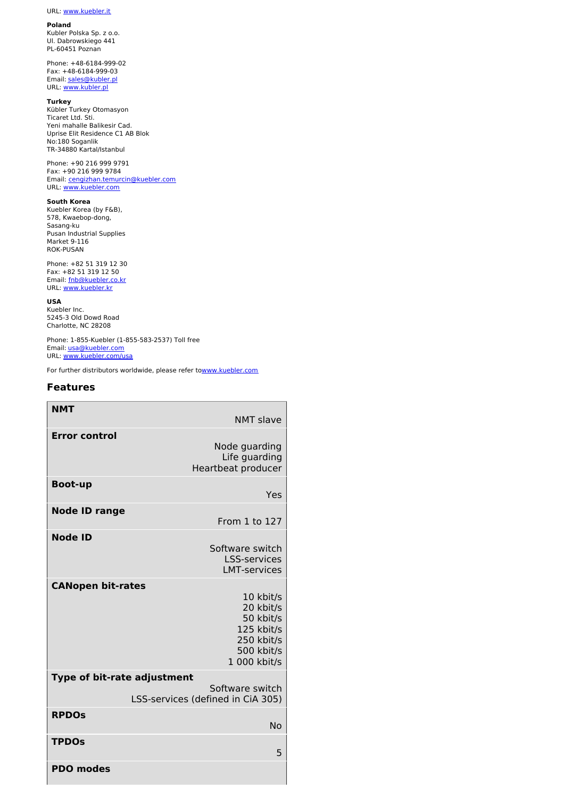#### **Poland**

Kubler Polska Sp. z o.o. Ul. Dabrowskiego 441 PL-60451 Poznan

Phone: +48-6184-999-02 Fax: +48-6184-999-03 Email: [sales@kubler.pl](mailto:sales@kubler.pl) URL: [www.kubler.pl](http://www.kubler.pl)

#### **Turkey**

Kübler Turkey Otomasyon Ticaret Ltd. Sti. Yeni mahalle Balikesir Cad. Uprise Elit Residence C1 AB Blok No:180 Soganlik TR-34880 Kartal/Istanbul

Phone: +90 216 999 9791 Fax: +90 216 999 9784 Email: [cengizhan.temurcin@kuebler.com](mailto:cengizhan.temurcin@kuebler.com) URL: [www.kuebler.com](http://www.kuebler.com)

#### **South Korea**

Kuebler Korea (by F&B), 578, Kwaebop-dong, Sasang-ku Pusan Industrial Supplies Market 9-116 ROK-PUSAN

Phone: +82 51 319 12 30 Fax: +82 51 319 12 50 Email: [fnb@kuebler.co.kr](mailto:fnb@kuebler.co.kr) URL: [www.kuebler.kr](http://www.kuebler.kr)

**USA** Kuebler Inc.

5245-3 Old Dowd Road Charlotte, NC 28208

Phone: 1-855-Kuebler (1-855-583-2537) Toll free Email: [usa@kuebler.com](mailto:usa@kuebler.com) URL: [www.kuebler.com/usa](http://www.kuebler.com/usa)

For further distributors worldwide, please refer t[owww.kuebler.com](http://www.kuebler.com)

# **Features**

| <b>NMT</b>                                     | <b>NMT slave</b>                                                                              |  |
|------------------------------------------------|-----------------------------------------------------------------------------------------------|--|
| <b>Error control</b>                           | Node guarding<br>Life guarding<br>Heartbeat producer                                          |  |
| <b>Boot-up</b>                                 | Yes                                                                                           |  |
| <b>Node ID range</b>                           | From 1 to 127                                                                                 |  |
| <b>Node ID</b>                                 | Software switch<br><b>LSS-services</b><br><b>LMT-services</b>                                 |  |
| <b>CANopen bit-rates</b>                       | 10 kbit/s<br>20 kbit/s<br>50 kbit/s<br>125 kbit/s<br>250 kbit/s<br>500 kbit/s<br>1 000 kbit/s |  |
| Type of bit-rate adjustment<br>Software switch |                                                                                               |  |
|                                                | LSS-services (defined in CiA 305)                                                             |  |
| <b>RPDOS</b>                                   | No                                                                                            |  |
| <b>TPDOs</b>                                   | 5                                                                                             |  |
| <b>PDO</b> modes                               |                                                                                               |  |